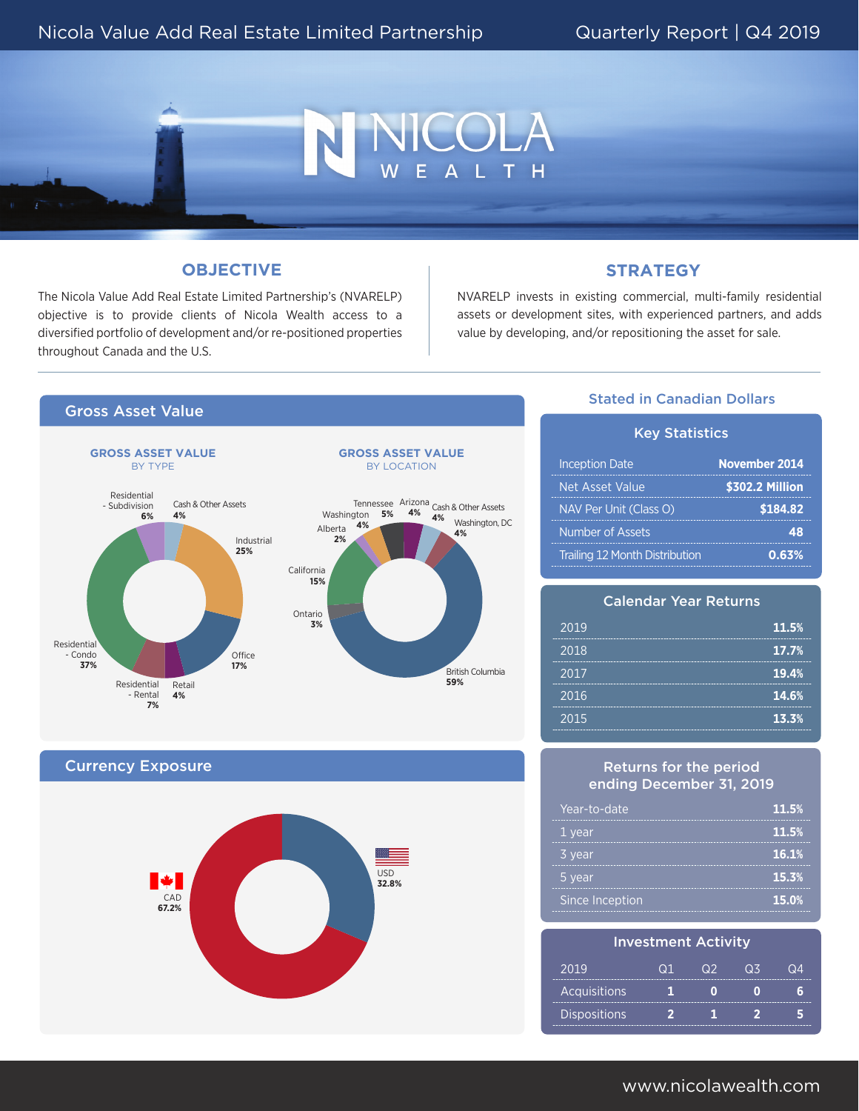### **OBJECTIVE**

The Nicola Value Add Real Estate Limited Partnership's (NVARELP) objective is to provide clients of Nicola Wealth access to a diversified portfolio of development and/or re-positioned properties throughout Canada and the U.S.

#### **STRATEGY**

NVARELP invests in existing commercial, multi-family residential assets or development sites, with experienced partners, and adds value by developing, and/or repositioning the asset for sale.

ICOLA

E.

ALTH

#### Gross Asset Value



#### Currency Exposure



#### Stated in Canadian Dollars

Key Statistics

| ney Jiansinus                                 |                 |  |  |  |
|-----------------------------------------------|-----------------|--|--|--|
| <b>November 2014</b><br><b>Inception Date</b> |                 |  |  |  |
| Net Asset Value                               | \$302.2 Million |  |  |  |
| <b>NAV Per Unit (Class O)</b>                 | \$184.82        |  |  |  |
| Number of Assets                              | 48              |  |  |  |
| <b>Trailing 12 Month Distribution</b>         | 0.63%           |  |  |  |

|                   | <b>Calendar Year Returns</b> |       |
|-------------------|------------------------------|-------|
| 2019              |                              | 11.5% |
| $\overline{20}18$ |                              | 17.7% |
| 2017              |                              | 19.4% |
| 2016              |                              | 14.6% |
| 2015              |                              | 13.3% |
|                   |                              |       |

#### Returns for the period ending December 31, 2019

| Year-to-date    | 11.5% |
|-----------------|-------|
| $1$ year        | 11.5% |
| 3 year          | 16.1% |
| 5 year          | 15.3% |
| Since Inception | 15.0% |

| <b>Investment Activity</b> |    |      |      |    |  |  |
|----------------------------|----|------|------|----|--|--|
| 2019                       | OT | (32) | (35) | ΩA |  |  |
| <b>Acquisitions</b>        |    |      |      |    |  |  |
| <b>Dispositions</b>        |    |      |      |    |  |  |

## www.nicolawealth.com